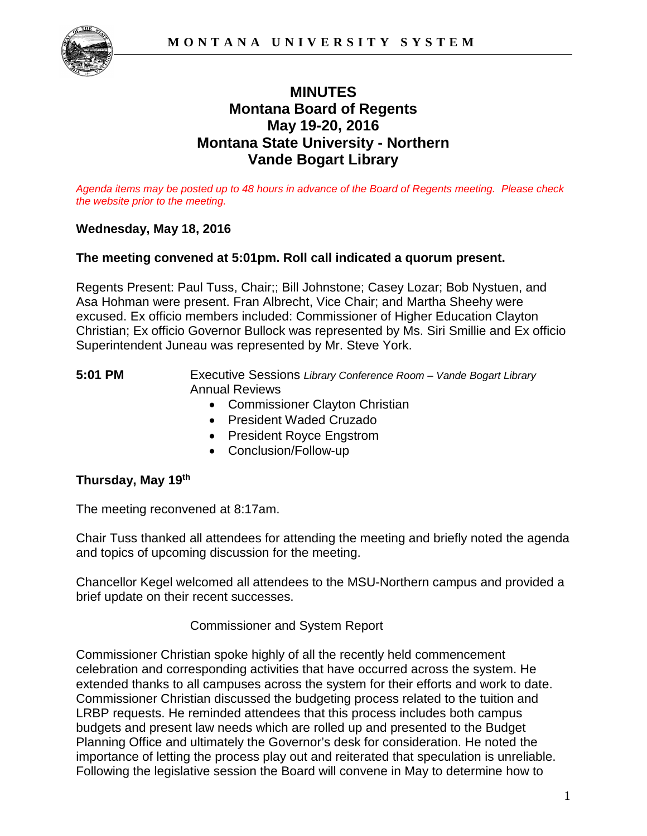

# **MINUTES Montana Board of Regents May 19-20, 2016 Montana State University - Northern Vande Bogart Library**

*Agenda items may be posted up to 48 hours in advance of the Board of Regents meeting. Please check the website prior to the meeting.* 

### **Wednesday, May 18, 2016**

### **The meeting convened at 5:01pm. Roll call indicated a quorum present.**

Regents Present: Paul Tuss, Chair;; Bill Johnstone; Casey Lozar; Bob Nystuen, and Asa Hohman were present. Fran Albrecht, Vice Chair; and Martha Sheehy were excused. Ex officio members included: Commissioner of Higher Education Clayton Christian; Ex officio Governor Bullock was represented by Ms. Siri Smillie and Ex officio Superintendent Juneau was represented by Mr. Steve York.

**5:01 PM** Executive Sessions *Library Conference Room – Vande Bogart Library* Annual Reviews

- Commissioner Clayton Christian
- President Waded Cruzado
- President Royce Engstrom
- Conclusion/Follow-up

### **Thursday, May 19th**

The meeting reconvened at 8:17am.

Chair Tuss thanked all attendees for attending the meeting and briefly noted the agenda and topics of upcoming discussion for the meeting.

Chancellor Kegel welcomed all attendees to the MSU-Northern campus and provided a brief update on their recent successes.

Commissioner and System Report

Commissioner Christian spoke highly of all the recently held commencement celebration and corresponding activities that have occurred across the system. He extended thanks to all campuses across the system for their efforts and work to date. Commissioner Christian discussed the budgeting process related to the tuition and LRBP requests. He reminded attendees that this process includes both campus budgets and present law needs which are rolled up and presented to the Budget Planning Office and ultimately the Governor's desk for consideration. He noted the importance of letting the process play out and reiterated that speculation is unreliable. Following the legislative session the Board will convene in May to determine how to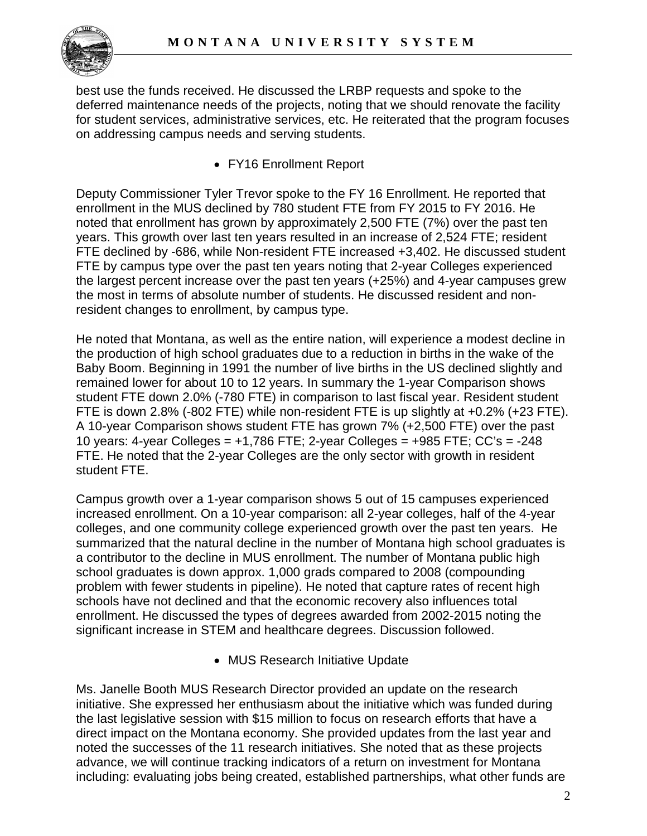

best use the funds received. He discussed the LRBP requests and spoke to the deferred maintenance needs of the projects, noting that we should renovate the facility for student services, administrative services, etc. He reiterated that the program focuses on addressing campus needs and serving students.

• FY16 Enrollment Report

Deputy Commissioner Tyler Trevor spoke to the FY 16 Enrollment. He reported that enrollment in the MUS declined by 780 student FTE from FY 2015 to FY 2016. He noted that enrollment has grown by approximately 2,500 FTE (7%) over the past ten years. This growth over last ten years resulted in an increase of 2,524 FTE; resident FTE declined by -686, while Non-resident FTE increased +3,402. He discussed student FTE by campus type over the past ten years noting that 2-year Colleges experienced the largest percent increase over the past ten years (+25%) and 4-year campuses grew the most in terms of absolute number of students. He discussed resident and nonresident changes to enrollment, by campus type.

He noted that Montana, as well as the entire nation, will experience a modest decline in the production of high school graduates due to a reduction in births in the wake of the Baby Boom. Beginning in 1991 the number of live births in the US declined slightly and remained lower for about 10 to 12 years. In summary the 1-year Comparison shows student FTE down 2.0% (-780 FTE) in comparison to last fiscal year. Resident student FTE is down 2.8% (-802 FTE) while non-resident FTE is up slightly at +0.2% (+23 FTE). A 10-year Comparison shows student FTE has grown 7% (+2,500 FTE) over the past 10 years: 4-year Colleges = +1,786 FTE; 2-year Colleges = +985 FTE; CC's = -248 FTE. He noted that the 2-year Colleges are the only sector with growth in resident student FTE.

Campus growth over a 1-year comparison shows 5 out of 15 campuses experienced increased enrollment. On a 10-year comparison: all 2-year colleges, half of the 4-year colleges, and one community college experienced growth over the past ten years. He summarized that the natural decline in the number of Montana high school graduates is a contributor to the decline in MUS enrollment. The number of Montana public high school graduates is down approx. 1,000 grads compared to 2008 (compounding problem with fewer students in pipeline). He noted that capture rates of recent high schools have not declined and that the economic recovery also influences total enrollment. He discussed the types of degrees awarded from 2002-2015 noting the significant increase in STEM and healthcare degrees. Discussion followed.

• MUS Research Initiative Update

Ms. Janelle Booth MUS Research Director provided an update on the research initiative. She expressed her enthusiasm about the initiative which was funded during the last legislative session with \$15 million to focus on research efforts that have a direct impact on the Montana economy. She provided updates from the last year and noted the successes of the 11 research initiatives. She noted that as these projects advance, we will continue tracking indicators of a return on investment for Montana including: evaluating jobs being created, established partnerships, what other funds are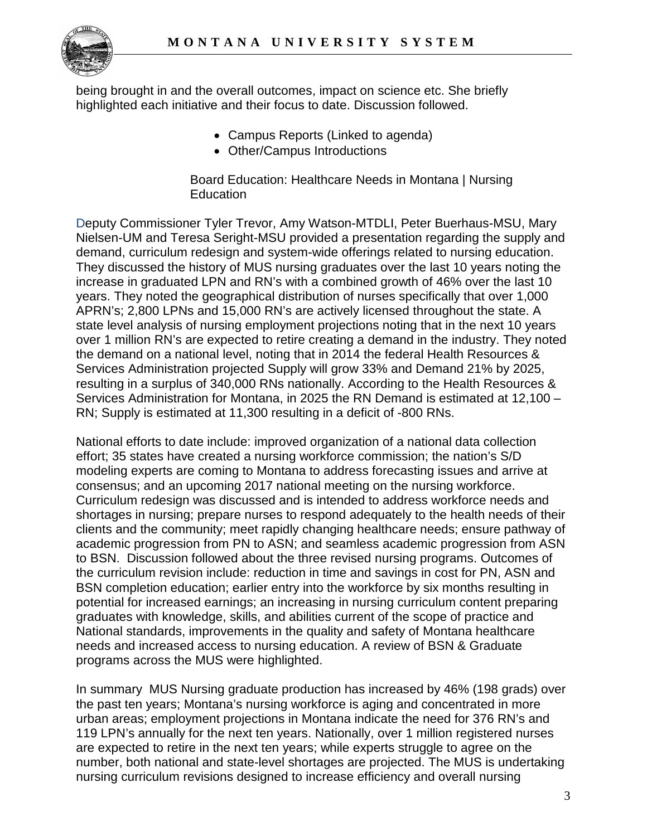

being brought in and the overall outcomes, impact on science etc. She briefly highlighted each initiative and their focus to date. Discussion followed.

- Campus Reports (Linked to agenda)
- Other/Campus Introductions

Board Education: Healthcare Needs in Montana | Nursing **Education** 

Deputy Commissioner Tyler Trevor, Amy Watson-MTDLI, Peter Buerhaus-MSU, Mary Nielsen-UM and Teresa Seright-MSU provided a presentation regarding the supply and demand, curriculum redesign and system-wide offerings related to nursing education. They discussed the history of MUS nursing graduates over the last 10 years noting the increase in graduated LPN and RN's with a combined growth of 46% over the last 10 years. They noted the geographical distribution of nurses specifically that over 1,000 APRN's; 2,800 LPNs and 15,000 RN's are actively licensed throughout the state. A state level analysis of nursing employment projections noting that in the next 10 years over 1 million RN's are expected to retire creating a demand in the industry. They noted the demand on a national level, noting that in 2014 the federal Health Resources & Services Administration projected Supply will grow 33% and Demand 21% by 2025, resulting in a surplus of 340,000 RNs nationally. According to the Health Resources & Services Administration for Montana, in 2025 the RN Demand is estimated at 12,100 – RN; Supply is estimated at 11,300 resulting in a deficit of -800 RNs.

National efforts to date include: improved organization of a national data collection effort; 35 states have created a nursing workforce commission; the nation's S/D modeling experts are coming to Montana to address forecasting issues and arrive at consensus; and an upcoming 2017 national meeting on the nursing workforce. Curriculum redesign was discussed and is intended to address workforce needs and shortages in nursing; prepare nurses to respond adequately to the health needs of their clients and the community; meet rapidly changing healthcare needs; ensure pathway of academic progression from PN to ASN; and seamless academic progression from ASN to BSN. Discussion followed about the three revised nursing programs. Outcomes of the curriculum revision include: reduction in time and savings in cost for PN, ASN and BSN completion education; earlier entry into the workforce by six months resulting in potential for increased earnings; an increasing in nursing curriculum content preparing graduates with knowledge, skills, and abilities current of the scope of practice and National standards, improvements in the quality and safety of Montana healthcare needs and increased access to nursing education. A review of BSN & Graduate programs across the MUS were highlighted.

In summary MUS Nursing graduate production has increased by 46% (198 grads) over the past ten years; Montana's nursing workforce is aging and concentrated in more urban areas; employment projections in Montana indicate the need for 376 RN's and 119 LPN's annually for the next ten years. Nationally, over 1 million registered nurses are expected to retire in the next ten years; while experts struggle to agree on the number, both national and state-level shortages are projected. The MUS is undertaking nursing curriculum revisions designed to increase efficiency and overall nursing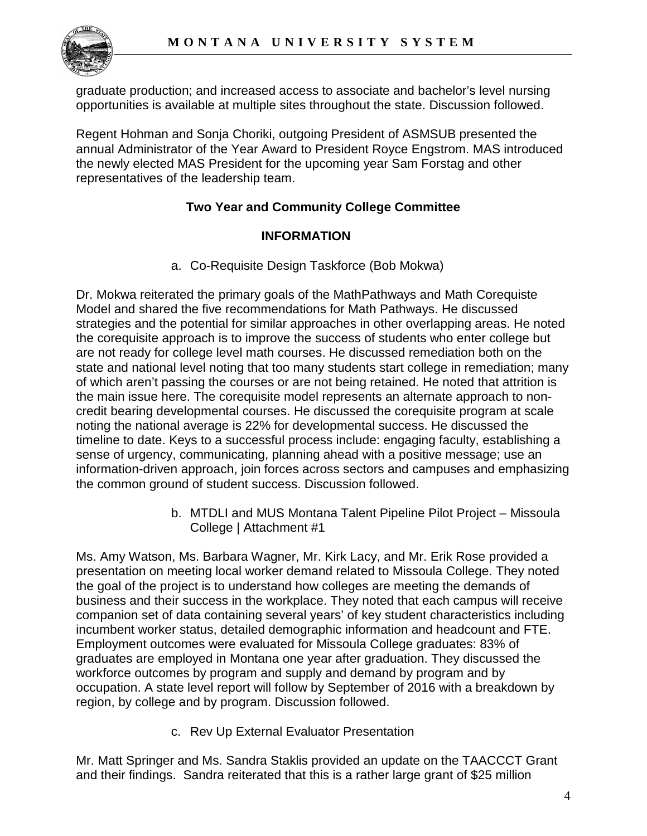

graduate production; and increased access to associate and bachelor's level nursing opportunities is available at multiple sites throughout the state. Discussion followed.

Regent Hohman and Sonja Choriki, outgoing President of ASMSUB presented the annual Administrator of the Year Award to President Royce Engstrom. MAS introduced the newly elected MAS President for the upcoming year Sam Forstag and other representatives of the leadership team.

## **Two Year and Community College Committee**

### **INFORMATION**

a. Co-Requisite Design Taskforce (Bob Mokwa)

Dr. Mokwa reiterated the primary goals of the MathPathways and Math Corequiste Model and shared the five recommendations for Math Pathways. He discussed strategies and the potential for similar approaches in other overlapping areas. He noted the corequisite approach is to improve the success of students who enter college but are not ready for college level math courses. He discussed remediation both on the state and national level noting that too many students start college in remediation; many of which aren't passing the courses or are not being retained. He noted that attrition is the main issue here. The corequisite model represents an alternate approach to noncredit bearing developmental courses. He discussed the corequisite program at scale noting the national average is 22% for developmental success. He discussed the timeline to date. Keys to a successful process include: engaging faculty, establishing a sense of urgency, communicating, planning ahead with a positive message; use an information-driven approach, join forces across sectors and campuses and emphasizing the common ground of student success. Discussion followed.

> b. MTDLI and MUS Montana Talent Pipeline Pilot Project – Missoula College | Attachment #1

Ms. Amy Watson, Ms. Barbara Wagner, Mr. Kirk Lacy, and Mr. Erik Rose provided a presentation on meeting local worker demand related to Missoula College. They noted the goal of the project is to understand how colleges are meeting the demands of business and their success in the workplace. They noted that each campus will receive companion set of data containing several years' of key student characteristics including incumbent worker status, detailed demographic information and headcount and FTE. Employment outcomes were evaluated for Missoula College graduates: 83% of graduates are employed in Montana one year after graduation. They discussed the workforce outcomes by program and supply and demand by program and by occupation. A state level report will follow by September of 2016 with a breakdown by region, by college and by program. Discussion followed.

c. Rev Up External Evaluator Presentation

Mr. Matt Springer and Ms. Sandra Staklis provided an update on the TAACCCT Grant and their findings. Sandra reiterated that this is a rather large grant of \$25 million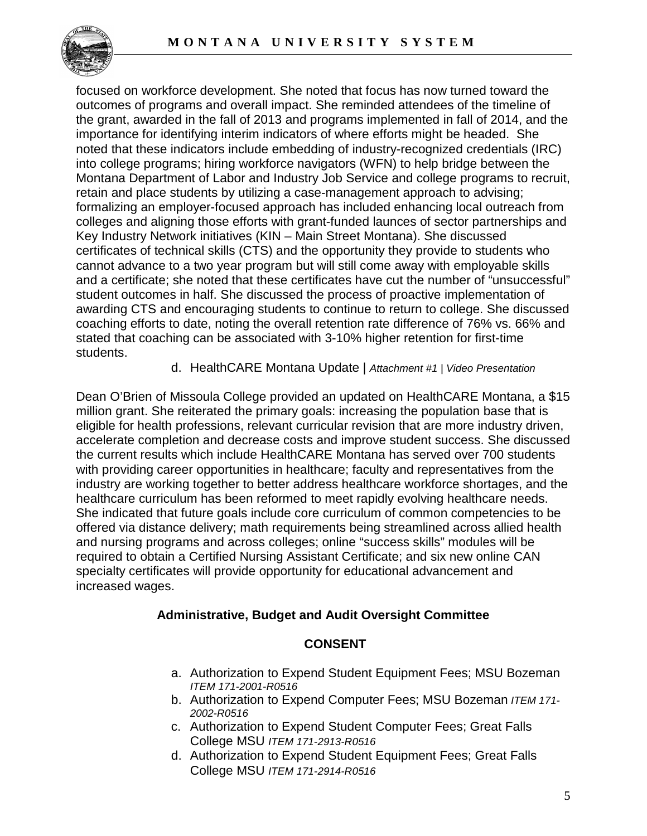

focused on workforce development. She noted that focus has now turned toward the outcomes of programs and overall impact. She reminded attendees of the timeline of the grant, awarded in the fall of 2013 and programs implemented in fall of 2014, and the importance for identifying interim indicators of where efforts might be headed. She noted that these indicators include embedding of industry-recognized credentials (IRC) into college programs; hiring workforce navigators (WFN) to help bridge between the Montana Department of Labor and Industry Job Service and college programs to recruit, retain and place students by utilizing a case-management approach to advising; formalizing an employer-focused approach has included enhancing local outreach from colleges and aligning those efforts with grant-funded launces of sector partnerships and Key Industry Network initiatives (KIN – Main Street Montana). She discussed certificates of technical skills (CTS) and the opportunity they provide to students who cannot advance to a two year program but will still come away with employable skills and a certificate; she noted that these certificates have cut the number of "unsuccessful" student outcomes in half. She discussed the process of proactive implementation of awarding CTS and encouraging students to continue to return to college. She discussed coaching efforts to date, noting the overall retention rate difference of 76% vs. 66% and stated that coaching can be associated with 3-10% higher retention for first-time students.

d. HealthCARE Montana Update | *Attachment #1 | Video Presentation*

Dean O'Brien of Missoula College provided an updated on HealthCARE Montana, a \$15 million grant. She reiterated the primary goals: increasing the population base that is eligible for health professions, relevant curricular revision that are more industry driven, accelerate completion and decrease costs and improve student success. She discussed the current results which include HealthCARE Montana has served over 700 students with providing career opportunities in healthcare; faculty and representatives from the industry are working together to better address healthcare workforce shortages, and the healthcare curriculum has been reformed to meet rapidly evolving healthcare needs. She indicated that future goals include core curriculum of common competencies to be offered via distance delivery; math requirements being streamlined across allied health and nursing programs and across colleges; online "success skills" modules will be required to obtain a Certified Nursing Assistant Certificate; and six new online CAN specialty certificates will provide opportunity for educational advancement and increased wages.

### **Administrative, Budget and Audit Oversight Committee**

### **CONSENT**

- a. Authorization to Expend Student Equipment Fees; MSU Bozeman *ITEM 171-2001-R0516*
- b. Authorization to Expend Computer Fees; MSU Bozeman *ITEM 171- 2002-R0516*
- c. Authorization to Expend Student Computer Fees; Great Falls College MSU *ITEM 171-2913-R0516*
- d. Authorization to Expend Student Equipment Fees; Great Falls College MSU *ITEM 171-2914-R0516*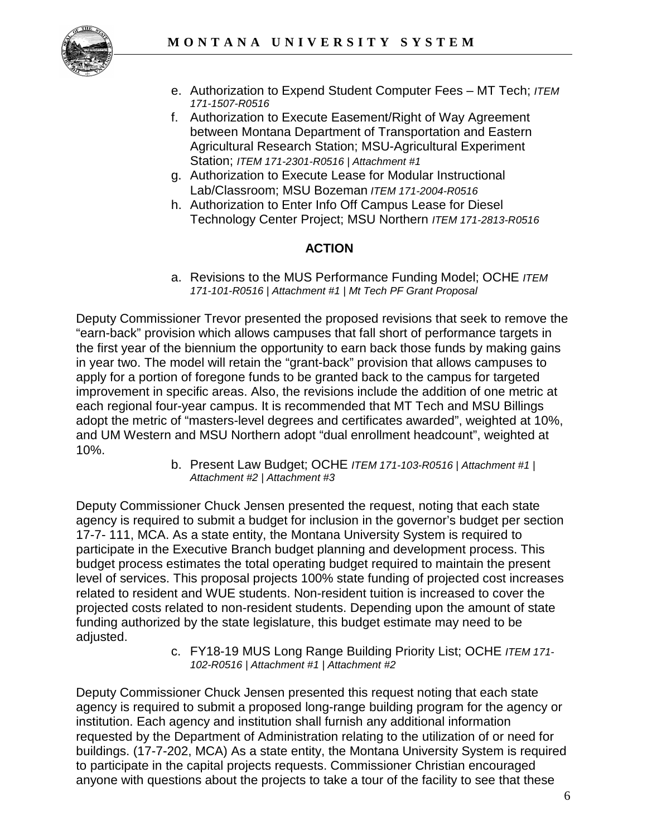

- e. Authorization to Expend Student Computer Fees MT Tech; *ITEM 171-1507-R0516*
- f. Authorization to Execute Easement/Right of Way Agreement between Montana Department of Transportation and Eastern Agricultural Research Station; MSU-Agricultural Experiment Station; *ITEM 171-2301-R0516 | Attachment #1*
- g. Authorization to Execute Lease for Modular Instructional Lab/Classroom; MSU Bozeman *ITEM 171-2004-R0516*
- h. Authorization to Enter Info Off Campus Lease for Diesel Technology Center Project; MSU Northern *ITEM 171-2813-R0516*

# **ACTION**

a. Revisions to the MUS Performance Funding Model; OCHE *ITEM 171-101-R0516 | Attachment #1 | Mt Tech PF Grant Proposal*

Deputy Commissioner Trevor presented the proposed revisions that seek to remove the "earn-back" provision which allows campuses that fall short of performance targets in the first year of the biennium the opportunity to earn back those funds by making gains in year two. The model will retain the "grant-back" provision that allows campuses to apply for a portion of foregone funds to be granted back to the campus for targeted improvement in specific areas. Also, the revisions include the addition of one metric at each regional four-year campus. It is recommended that MT Tech and MSU Billings adopt the metric of "masters-level degrees and certificates awarded", weighted at 10%, and UM Western and MSU Northern adopt "dual enrollment headcount", weighted at 10%.

b. Present Law Budget; OCHE *ITEM 171-103-R0516 | Attachment #1 | Attachment #2 | Attachment #3*

Deputy Commissioner Chuck Jensen presented the request, noting that each state agency is required to submit a budget for inclusion in the governor's budget per section 17-7- 111, MCA. As a state entity, the Montana University System is required to participate in the Executive Branch budget planning and development process. This budget process estimates the total operating budget required to maintain the present level of services. This proposal projects 100% state funding of projected cost increases related to resident and WUE students. Non-resident tuition is increased to cover the projected costs related to non-resident students. Depending upon the amount of state funding authorized by the state legislature, this budget estimate may need to be adjusted.

c. FY18-19 MUS Long Range Building Priority List; OCHE *ITEM 171- 102-R0516 | Attachment #1 | Attachment #2*

Deputy Commissioner Chuck Jensen presented this request noting that each state agency is required to submit a proposed long-range building program for the agency or institution. Each agency and institution shall furnish any additional information requested by the Department of Administration relating to the utilization of or need for buildings. (17-7-202, MCA) As a state entity, the Montana University System is required to participate in the capital projects requests. Commissioner Christian encouraged anyone with questions about the projects to take a tour of the facility to see that these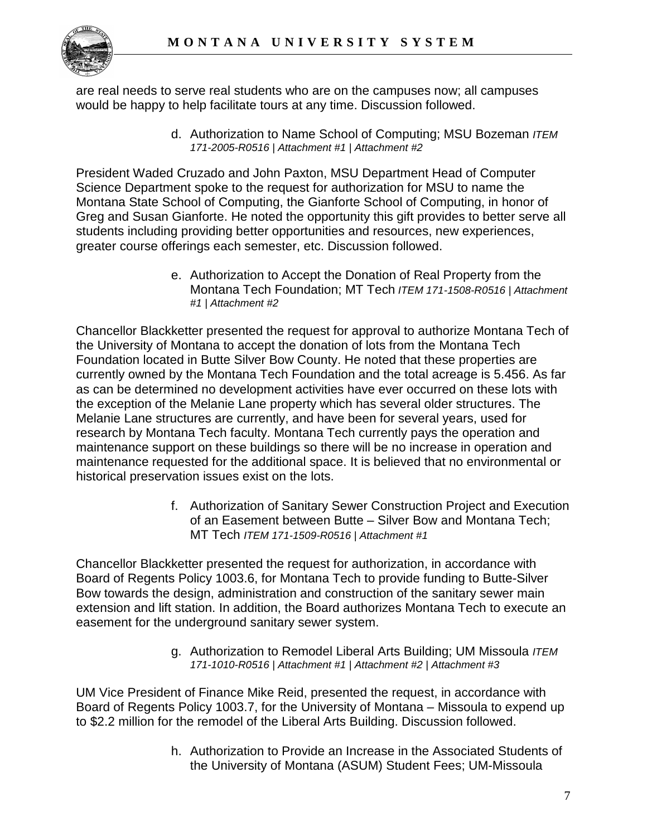

are real needs to serve real students who are on the campuses now; all campuses would be happy to help facilitate tours at any time. Discussion followed.

> d. Authorization to Name School of Computing; MSU Bozeman *ITEM 171-2005-R0516 | Attachment #1 | Attachment #2*

President Waded Cruzado and John Paxton, MSU Department Head of Computer Science Department spoke to the request for authorization for MSU to name the Montana State School of Computing, the Gianforte School of Computing, in honor of Greg and Susan Gianforte. He noted the opportunity this gift provides to better serve all students including providing better opportunities and resources, new experiences, greater course offerings each semester, etc. Discussion followed.

> e. Authorization to Accept the Donation of Real Property from the Montana Tech Foundation; MT Tech *ITEM 171-1508-R0516 | Attachment #1 | Attachment #2*

Chancellor Blackketter presented the request for approval to authorize Montana Tech of the University of Montana to accept the donation of lots from the Montana Tech Foundation located in Butte Silver Bow County. He noted that these properties are currently owned by the Montana Tech Foundation and the total acreage is 5.456. As far as can be determined no development activities have ever occurred on these lots with the exception of the Melanie Lane property which has several older structures. The Melanie Lane structures are currently, and have been for several years, used for research by Montana Tech faculty. Montana Tech currently pays the operation and maintenance support on these buildings so there will be no increase in operation and maintenance requested for the additional space. It is believed that no environmental or historical preservation issues exist on the lots.

> f. Authorization of Sanitary Sewer Construction Project and Execution of an Easement between Butte – Silver Bow and Montana Tech; MT Tech *ITEM 171-1509-R0516 | Attachment #1*

Chancellor Blackketter presented the request for authorization, in accordance with Board of Regents Policy 1003.6, for Montana Tech to provide funding to Butte-Silver Bow towards the design, administration and construction of the sanitary sewer main extension and lift station. In addition, the Board authorizes Montana Tech to execute an easement for the underground sanitary sewer system.

> g. Authorization to Remodel Liberal Arts Building; UM Missoula *ITEM 171-1010-R0516 | Attachment #1 | Attachment #2 | Attachment #3*

UM Vice President of Finance Mike Reid, presented the request, in accordance with Board of Regents Policy 1003.7, for the University of Montana – Missoula to expend up to \$2.2 million for the remodel of the Liberal Arts Building. Discussion followed.

> h. Authorization to Provide an Increase in the Associated Students of the University of Montana (ASUM) Student Fees; UM-Missoula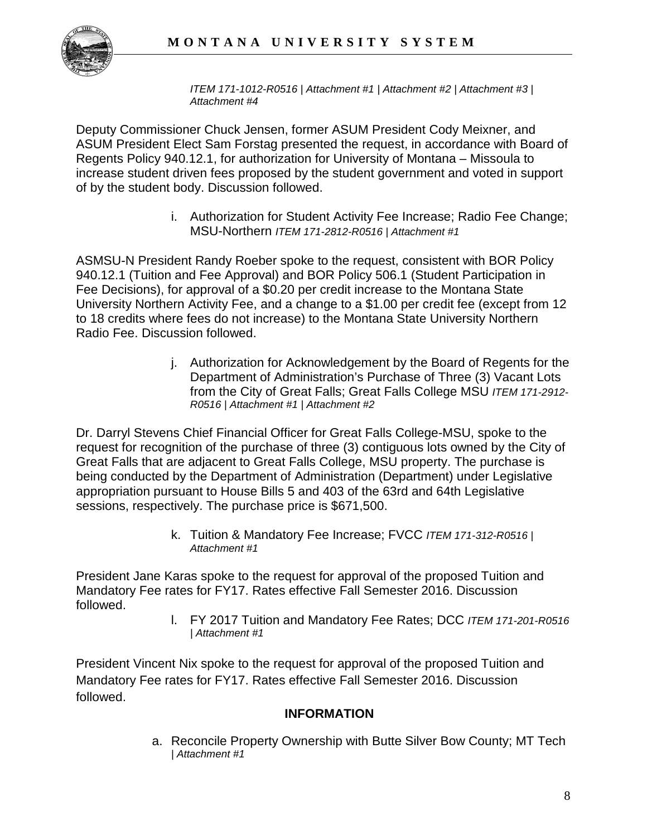

*ITEM 171-1012-R0516 | Attachment #1 | Attachment #2 | Attachment #3 | Attachment #4*

Deputy Commissioner Chuck Jensen, former ASUM President Cody Meixner, and ASUM President Elect Sam Forstag presented the request, in accordance with Board of Regents Policy 940.12.1, for authorization for University of Montana – Missoula to increase student driven fees proposed by the student government and voted in support of by the student body. Discussion followed.

> i. Authorization for Student Activity Fee Increase; Radio Fee Change; MSU-Northern *ITEM 171-2812-R0516 | Attachment #1*

ASMSU-N President Randy Roeber spoke to the request, consistent with BOR Policy 940.12.1 (Tuition and Fee Approval) and BOR Policy 506.1 (Student Participation in Fee Decisions), for approval of a \$0.20 per credit increase to the Montana State University Northern Activity Fee, and a change to a \$1.00 per credit fee (except from 12 to 18 credits where fees do not increase) to the Montana State University Northern Radio Fee. Discussion followed.

> j. Authorization for Acknowledgement by the Board of Regents for the Department of Administration's Purchase of Three (3) Vacant Lots from the City of Great Falls; Great Falls College MSU *ITEM 171-2912- R0516 | Attachment #1 | Attachment #2*

Dr. Darryl Stevens Chief Financial Officer for Great Falls College-MSU, spoke to the request for recognition of the purchase of three (3) contiguous lots owned by the City of Great Falls that are adjacent to Great Falls College, MSU property. The purchase is being conducted by the Department of Administration (Department) under Legislative appropriation pursuant to House Bills 5 and 403 of the 63rd and 64th Legislative sessions, respectively. The purchase price is \$671,500.

> k. Tuition & Mandatory Fee Increase; FVCC *ITEM 171-312-R0516 | Attachment #1*

President Jane Karas spoke to the request for approval of the proposed Tuition and Mandatory Fee rates for FY17. Rates effective Fall Semester 2016. Discussion followed.

l. FY 2017 Tuition and Mandatory Fee Rates; DCC *ITEM 171-201-R0516 | Attachment #1* 

President Vincent Nix spoke to the request for approval of the proposed Tuition and Mandatory Fee rates for FY17. Rates effective Fall Semester 2016. Discussion followed.

### **INFORMATION**

a. Reconcile Property Ownership with Butte Silver Bow County; MT Tech *| Attachment #1*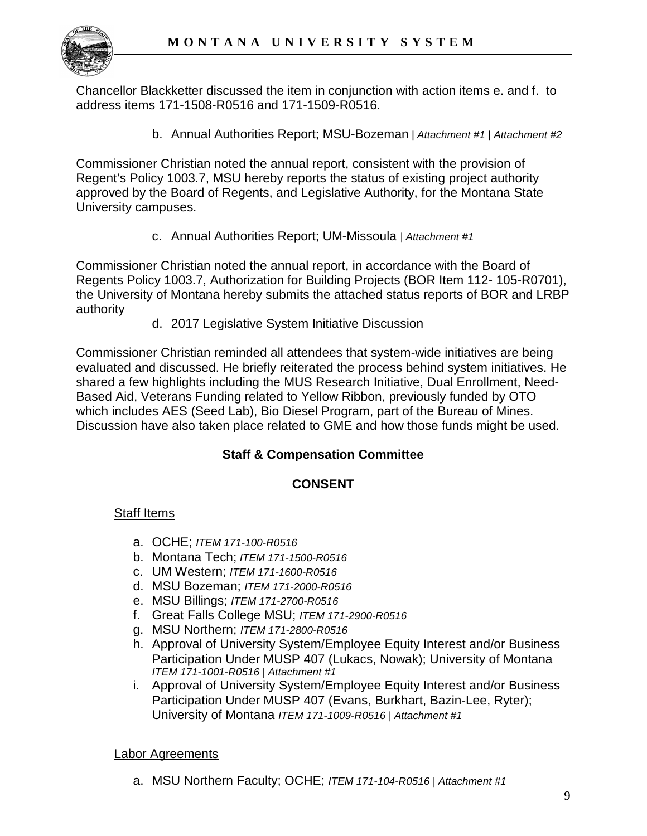

Chancellor Blackketter discussed the item in conjunction with action items e. and f. to address items 171-1508-R0516 and 171-1509-R0516.

b. Annual Authorities Report; MSU-Bozeman *| Attachment #1 | Attachment #2*

Commissioner Christian noted the annual report, consistent with the provision of Regent's Policy 1003.7, MSU hereby reports the status of existing project authority approved by the Board of Regents, and Legislative Authority, for the Montana State University campuses.

c. Annual Authorities Report; UM-Missoula *| Attachment #1* 

Commissioner Christian noted the annual report, in accordance with the Board of Regents Policy 1003.7, Authorization for Building Projects (BOR Item 112- 105-R0701), the University of Montana hereby submits the attached status reports of BOR and LRBP authority

d. 2017 Legislative System Initiative Discussion

Commissioner Christian reminded all attendees that system-wide initiatives are being evaluated and discussed. He briefly reiterated the process behind system initiatives. He shared a few highlights including the MUS Research Initiative, Dual Enrollment, Need-Based Aid, Veterans Funding related to Yellow Ribbon, previously funded by OTO which includes AES (Seed Lab), Bio Diesel Program, part of the Bureau of Mines. Discussion have also taken place related to GME and how those funds might be used.

### **Staff & Compensation Committee**

### **CONSENT**

### Staff Items

- a. OCHE; *ITEM 171-100-R0516*
- b. Montana Tech; *ITEM 171-1500-R0516*
- c. UM Western; *ITEM 171-1600-R0516*
- d. MSU Bozeman; *ITEM 171-2000-R0516*
- e. MSU Billings; *ITEM 171-2700-R0516*
- f. Great Falls College MSU; *ITEM 171-2900-R0516*
- g. MSU Northern; *ITEM 171-2800-R0516*
- h. Approval of University System/Employee Equity Interest and/or Business Participation Under MUSP 407 (Lukacs, Nowak); University of Montana *ITEM 171-1001-R0516 | Attachment #1*
- i. Approval of University System/Employee Equity Interest and/or Business Participation Under MUSP 407 (Evans, Burkhart, Bazin-Lee, Ryter); University of Montana *ITEM 171-1009-R0516 | Attachment #1*

### Labor Agreements

a. MSU Northern Faculty; OCHE; *ITEM 171-104-R0516 | Attachment #1*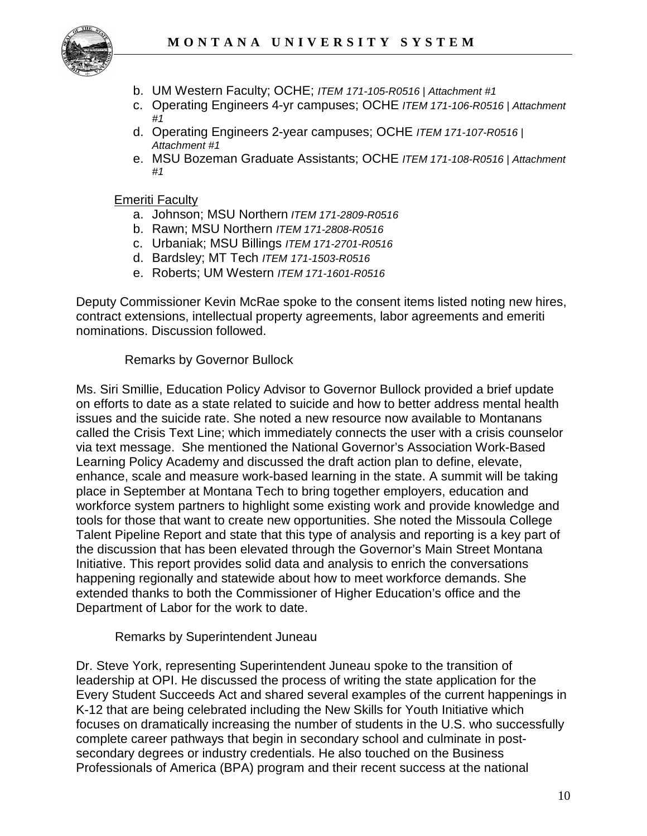

- b. UM Western Faculty; OCHE; *ITEM 171-105-R0516 | Attachment #1*
- c. Operating Engineers 4-yr campuses; OCHE *ITEM 171-106-R0516 | Attachment #1*
- d. Operating Engineers 2-year campuses; OCHE *ITEM 171-107-R0516 | Attachment #1*
- e. MSU Bozeman Graduate Assistants; OCHE *ITEM 171-108-R0516 | Attachment #1*

Emeriti Faculty

- a. Johnson; MSU Northern *ITEM 171-2809-R0516*
- b. Rawn; MSU Northern *ITEM 171-2808-R0516*
- c. Urbaniak; MSU Billings *ITEM 171-2701-R0516*
- d. Bardsley; MT Tech *ITEM 171-1503-R0516*
- e. Roberts; UM Western *ITEM 171-1601-R0516*

Deputy Commissioner Kevin McRae spoke to the consent items listed noting new hires, contract extensions, intellectual property agreements, labor agreements and emeriti nominations. Discussion followed.

### Remarks by Governor Bullock

Ms. Siri Smillie, Education Policy Advisor to Governor Bullock provided a brief update on efforts to date as a state related to suicide and how to better address mental health issues and the suicide rate. She noted a new resource now available to Montanans called the Crisis Text Line; which immediately connects the user with a crisis counselor via text message. She mentioned the National Governor's Association Work-Based Learning Policy Academy and discussed the draft action plan to define, elevate, enhance, scale and measure work-based learning in the state. A summit will be taking place in September at Montana Tech to bring together employers, education and workforce system partners to highlight some existing work and provide knowledge and tools for those that want to create new opportunities. She noted the Missoula College Talent Pipeline Report and state that this type of analysis and reporting is a key part of the discussion that has been elevated through the Governor's Main Street Montana Initiative. This report provides solid data and analysis to enrich the conversations happening regionally and statewide about how to meet workforce demands. She extended thanks to both the Commissioner of Higher Education's office and the Department of Labor for the work to date.

Remarks by Superintendent Juneau

Dr. Steve York, representing Superintendent Juneau spoke to the transition of leadership at OPI. He discussed the process of writing the state application for the Every Student Succeeds Act and shared several examples of the current happenings in K-12 that are being celebrated including the New Skills for Youth Initiative which focuses on dramatically increasing the number of students in the U.S. who successfully complete career pathways that begin in secondary school and culminate in postsecondary degrees or industry credentials. He also touched on the Business Professionals of America (BPA) program and their recent success at the national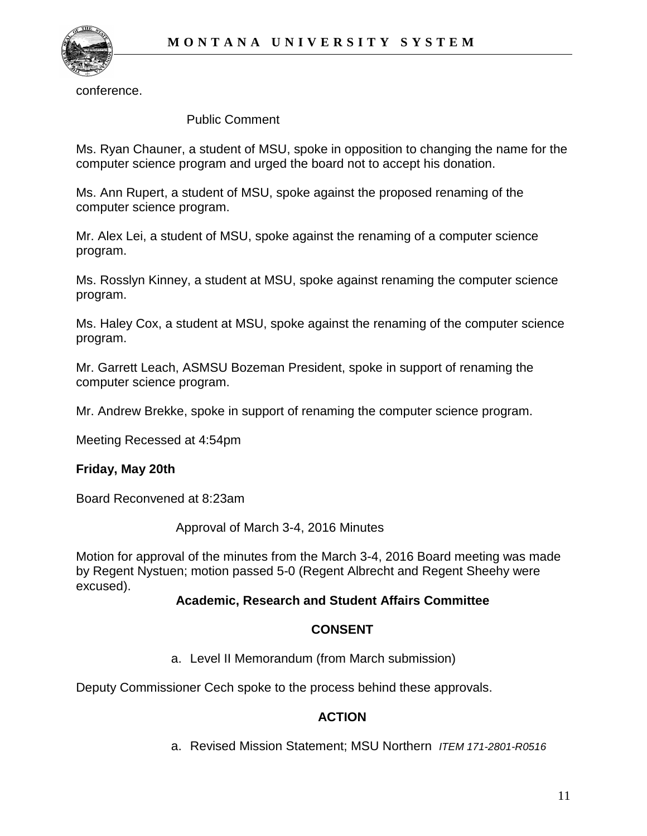

conference.

#### Public Comment

Ms. Ryan Chauner, a student of MSU, spoke in opposition to changing the name for the computer science program and urged the board not to accept his donation.

Ms. Ann Rupert, a student of MSU, spoke against the proposed renaming of the computer science program.

Mr. Alex Lei, a student of MSU, spoke against the renaming of a computer science program.

Ms. Rosslyn Kinney, a student at MSU, spoke against renaming the computer science program.

Ms. Haley Cox, a student at MSU, spoke against the renaming of the computer science program.

Mr. Garrett Leach, ASMSU Bozeman President, spoke in support of renaming the computer science program.

Mr. Andrew Brekke, spoke in support of renaming the computer science program.

Meeting Recessed at 4:54pm

### **Friday, May 20th**

Board Reconvened at 8:23am

Approval of March 3-4, 2016 Minutes

Motion for approval of the minutes from the March 3-4, 2016 Board meeting was made by Regent Nystuen; motion passed 5-0 (Regent Albrecht and Regent Sheehy were excused).

### **Academic, Research and Student Affairs Committee**

### **CONSENT**

a. Level II Memorandum (from March submission)

Deputy Commissioner Cech spoke to the process behind these approvals.

### **ACTION**

a. Revised Mission Statement; MSU Northern *ITEM 171-2801-R0516*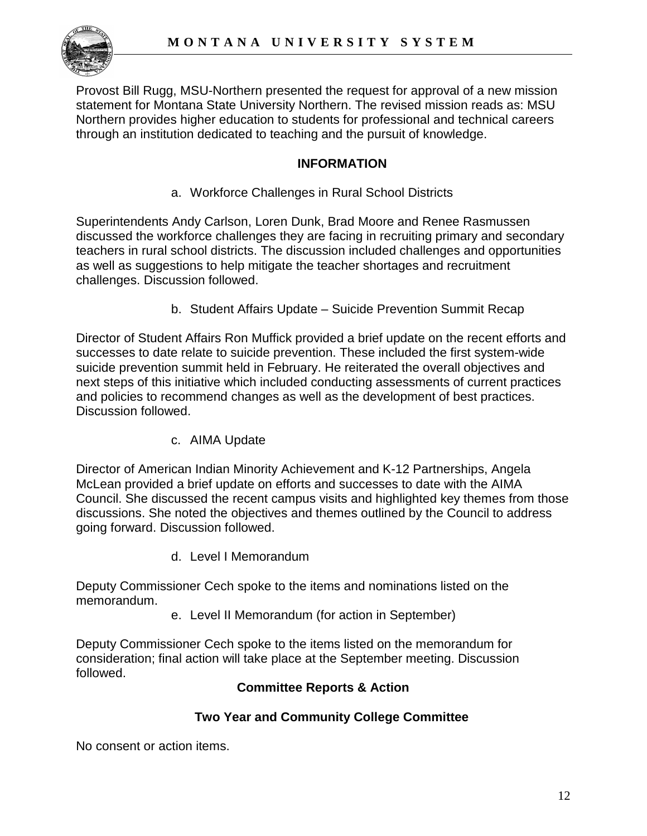

Provost Bill Rugg, MSU-Northern presented the request for approval of a new mission statement for Montana State University Northern. The revised mission reads as: MSU Northern provides higher education to students for professional and technical careers through an institution dedicated to teaching and the pursuit of knowledge.

### **INFORMATION**

a. Workforce Challenges in Rural School Districts

Superintendents Andy Carlson, Loren Dunk, Brad Moore and Renee Rasmussen discussed the workforce challenges they are facing in recruiting primary and secondary teachers in rural school districts. The discussion included challenges and opportunities as well as suggestions to help mitigate the teacher shortages and recruitment challenges. Discussion followed.

b. Student Affairs Update – Suicide Prevention Summit Recap

Director of Student Affairs Ron Muffick provided a brief update on the recent efforts and successes to date relate to suicide prevention. These included the first system-wide suicide prevention summit held in February. He reiterated the overall objectives and next steps of this initiative which included conducting assessments of current practices and policies to recommend changes as well as the development of best practices. Discussion followed.

c. AIMA Update

Director of American Indian Minority Achievement and K-12 Partnerships, Angela McLean provided a brief update on efforts and successes to date with the AIMA Council. She discussed the recent campus visits and highlighted key themes from those discussions. She noted the objectives and themes outlined by the Council to address going forward. Discussion followed.

d. Level I Memorandum

Deputy Commissioner Cech spoke to the items and nominations listed on the memorandum.

e. Level II Memorandum (for action in September)

Deputy Commissioner Cech spoke to the items listed on the memorandum for consideration; final action will take place at the September meeting. Discussion followed.

### **Committee Reports & Action**

### **Two Year and Community College Committee**

No consent or action items.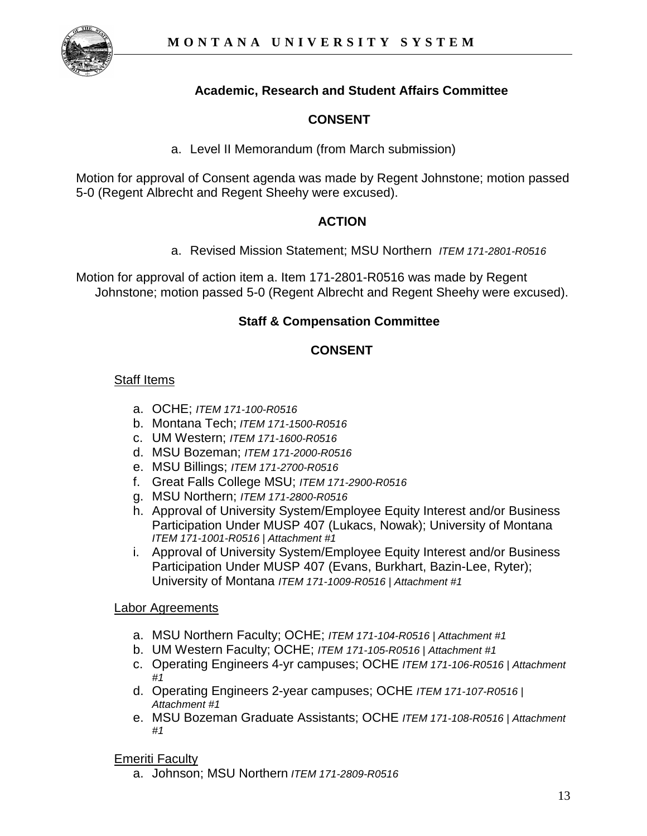

# **Academic, Research and Student Affairs Committee**

## **CONSENT**

a. Level II Memorandum (from March submission)

Motion for approval of Consent agenda was made by Regent Johnstone; motion passed 5-0 (Regent Albrecht and Regent Sheehy were excused).

### **ACTION**

a. Revised Mission Statement; MSU Northern *ITEM 171-2801-R0516*

Motion for approval of action item a. Item 171-2801-R0516 was made by Regent Johnstone; motion passed 5-0 (Regent Albrecht and Regent Sheehy were excused).

### **Staff & Compensation Committee**

## **CONSENT**

### Staff Items

- a. OCHE; *ITEM 171-100-R0516*
- b. Montana Tech; *ITEM 171-1500-R0516*
- c. UM Western; *ITEM 171-1600-R0516*
- d. MSU Bozeman; *ITEM 171-2000-R0516*
- e. MSU Billings; *ITEM 171-2700-R0516*
- f. Great Falls College MSU; *ITEM 171-2900-R0516*
- g. MSU Northern; *ITEM 171-2800-R0516*
- h. Approval of University System/Employee Equity Interest and/or Business Participation Under MUSP 407 (Lukacs, Nowak); University of Montana *ITEM 171-1001-R0516 | Attachment #1*
- i. Approval of University System/Employee Equity Interest and/or Business Participation Under MUSP 407 (Evans, Burkhart, Bazin-Lee, Ryter); University of Montana *ITEM 171-1009-R0516 | Attachment #1*

### **Labor Agreements**

- a. MSU Northern Faculty; OCHE; *ITEM 171-104-R0516 | Attachment #1*
- b. UM Western Faculty; OCHE; *ITEM 171-105-R0516 | Attachment #1*
- c. Operating Engineers 4-yr campuses; OCHE *ITEM 171-106-R0516 | Attachment #1*
- d. Operating Engineers 2-year campuses; OCHE *ITEM 171-107-R0516 | Attachment #1*
- e. MSU Bozeman Graduate Assistants; OCHE *ITEM 171-108-R0516 | Attachment #1*

### Emeriti Faculty

a. Johnson; MSU Northern *ITEM 171-2809-R0516*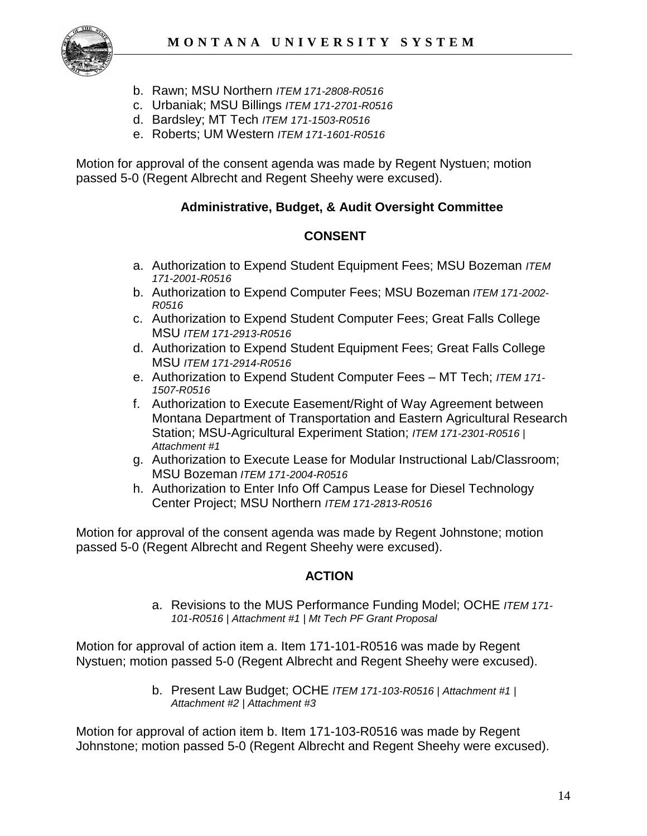

- b. Rawn; MSU Northern *ITEM 171-2808-R0516*
- c. Urbaniak; MSU Billings *ITEM 171-2701-R0516*
- d. Bardsley; MT Tech *ITEM 171-1503-R0516*
- e. Roberts; UM Western *ITEM 171-1601-R0516*

Motion for approval of the consent agenda was made by Regent Nystuen; motion passed 5-0 (Regent Albrecht and Regent Sheehy were excused).

### **Administrative, Budget, & Audit Oversight Committee**

### **CONSENT**

- a. Authorization to Expend Student Equipment Fees; MSU Bozeman *ITEM 171-2001-R0516*
- b. Authorization to Expend Computer Fees; MSU Bozeman *ITEM 171-2002- R0516*
- c. Authorization to Expend Student Computer Fees; Great Falls College MSU *ITEM 171-2913-R0516*
- d. Authorization to Expend Student Equipment Fees; Great Falls College MSU *ITEM 171-2914-R0516*
- e. Authorization to Expend Student Computer Fees MT Tech; *ITEM 171- 1507-R0516*
- f. Authorization to Execute Easement/Right of Way Agreement between Montana Department of Transportation and Eastern Agricultural Research Station; MSU-Agricultural Experiment Station; *ITEM 171-2301-R0516 | Attachment #1*
- g. Authorization to Execute Lease for Modular Instructional Lab/Classroom; MSU Bozeman *ITEM 171-2004-R0516*
- h. Authorization to Enter Info Off Campus Lease for Diesel Technology Center Project; MSU Northern *ITEM 171-2813-R0516*

Motion for approval of the consent agenda was made by Regent Johnstone; motion passed 5-0 (Regent Albrecht and Regent Sheehy were excused).

### **ACTION**

a. Revisions to the MUS Performance Funding Model; OCHE *ITEM 171- 101-R0516 | Attachment #1 | Mt Tech PF Grant Proposal*

Motion for approval of action item a. Item 171-101-R0516 was made by Regent Nystuen; motion passed 5-0 (Regent Albrecht and Regent Sheehy were excused).

> b. Present Law Budget; OCHE *ITEM 171-103-R0516 | Attachment #1 | Attachment #2 | Attachment #3*

Motion for approval of action item b. Item 171-103-R0516 was made by Regent Johnstone; motion passed 5-0 (Regent Albrecht and Regent Sheehy were excused).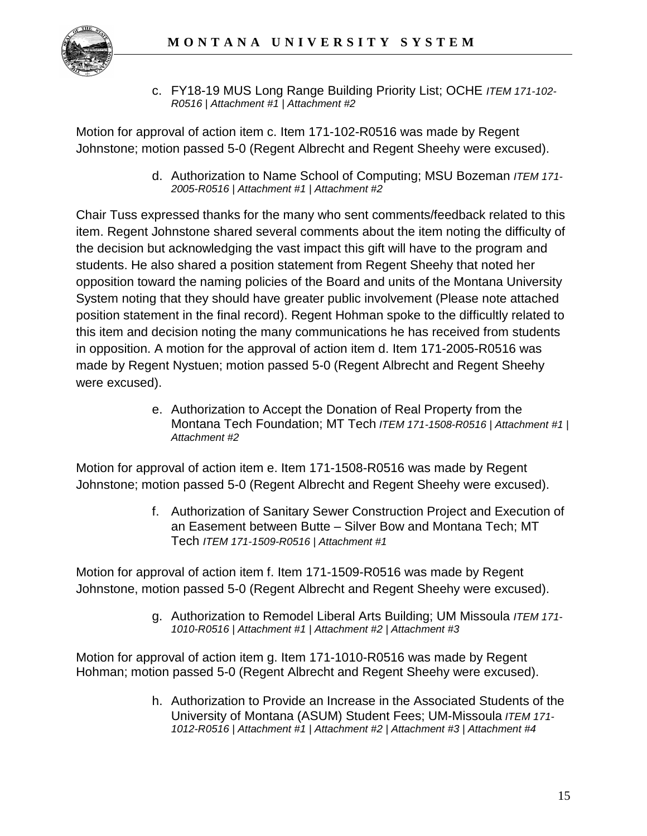

c. FY18-19 MUS Long Range Building Priority List; OCHE *ITEM 171-102- R0516 | Attachment #1 | Attachment #2*

Motion for approval of action item c. Item 171-102-R0516 was made by Regent Johnstone; motion passed 5-0 (Regent Albrecht and Regent Sheehy were excused).

> d. Authorization to Name School of Computing; MSU Bozeman *ITEM 171- 2005-R0516 | Attachment #1 | Attachment #2*

Chair Tuss expressed thanks for the many who sent comments/feedback related to this item. Regent Johnstone shared several comments about the item noting the difficulty of the decision but acknowledging the vast impact this gift will have to the program and students. He also shared a position statement from Regent Sheehy that noted her opposition toward the naming policies of the Board and units of the Montana University System noting that they should have greater public involvement (Please note attached position statement in the final record). Regent Hohman spoke to the difficultly related to this item and decision noting the many communications he has received from students in opposition. A motion for the approval of action item d. Item 171-2005-R0516 was made by Regent Nystuen; motion passed 5-0 (Regent Albrecht and Regent Sheehy were excused).

> e. Authorization to Accept the Donation of Real Property from the Montana Tech Foundation; MT Tech *ITEM 171-1508-R0516 | Attachment #1 | Attachment #2*

Motion for approval of action item e. Item 171-1508-R0516 was made by Regent Johnstone; motion passed 5-0 (Regent Albrecht and Regent Sheehy were excused).

> f. Authorization of Sanitary Sewer Construction Project and Execution of an Easement between Butte – Silver Bow and Montana Tech; MT Tech *ITEM 171-1509-R0516 | Attachment #1*

Motion for approval of action item f. Item 171-1509-R0516 was made by Regent Johnstone, motion passed 5-0 (Regent Albrecht and Regent Sheehy were excused).

> g. Authorization to Remodel Liberal Arts Building; UM Missoula *ITEM 171- 1010-R0516 | Attachment #1 | Attachment #2 | Attachment #3*

Motion for approval of action item g. Item 171-1010-R0516 was made by Regent Hohman; motion passed 5-0 (Regent Albrecht and Regent Sheehy were excused).

> h. Authorization to Provide an Increase in the Associated Students of the University of Montana (ASUM) Student Fees; UM-Missoula *ITEM 171- 1012-R0516 | Attachment #1 | Attachment #2 | Attachment #3 | Attachment #4*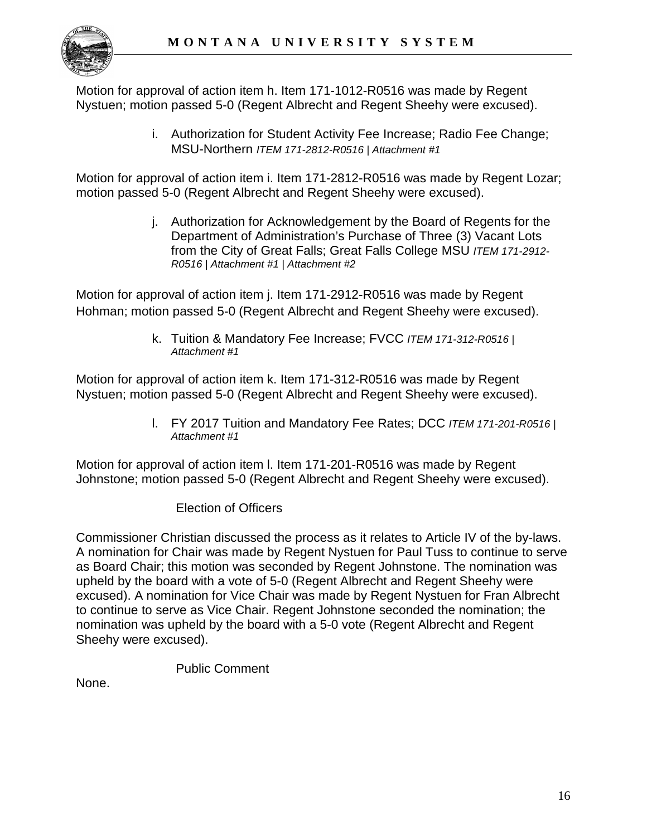

Motion for approval of action item h. Item 171-1012-R0516 was made by Regent Nystuen; motion passed 5-0 (Regent Albrecht and Regent Sheehy were excused).

> i. Authorization for Student Activity Fee Increase; Radio Fee Change; MSU-Northern *ITEM 171-2812-R0516 | Attachment #1*

Motion for approval of action item i. Item 171-2812-R0516 was made by Regent Lozar; motion passed 5-0 (Regent Albrecht and Regent Sheehy were excused).

> j. Authorization for Acknowledgement by the Board of Regents for the Department of Administration's Purchase of Three (3) Vacant Lots from the City of Great Falls; Great Falls College MSU *ITEM 171-2912- R0516 | Attachment #1 | Attachment #2*

Motion for approval of action item j. Item 171-2912-R0516 was made by Regent Hohman; motion passed 5-0 (Regent Albrecht and Regent Sheehy were excused).

> k. Tuition & Mandatory Fee Increase; FVCC *ITEM 171-312-R0516 | Attachment #1*

Motion for approval of action item k. Item 171-312-R0516 was made by Regent Nystuen; motion passed 5-0 (Regent Albrecht and Regent Sheehy were excused).

> l. FY 2017 Tuition and Mandatory Fee Rates; DCC *ITEM 171-201-R0516 | Attachment #1*

Motion for approval of action item l. Item 171-201-R0516 was made by Regent Johnstone; motion passed 5-0 (Regent Albrecht and Regent Sheehy were excused).

### Election of Officers

Commissioner Christian discussed the process as it relates to Article IV of the by-laws. A nomination for Chair was made by Regent Nystuen for Paul Tuss to continue to serve as Board Chair; this motion was seconded by Regent Johnstone. The nomination was upheld by the board with a vote of 5-0 (Regent Albrecht and Regent Sheehy were excused). A nomination for Vice Chair was made by Regent Nystuen for Fran Albrecht to continue to serve as Vice Chair. Regent Johnstone seconded the nomination; the nomination was upheld by the board with a 5-0 vote (Regent Albrecht and Regent Sheehy were excused).

Public Comment

None.